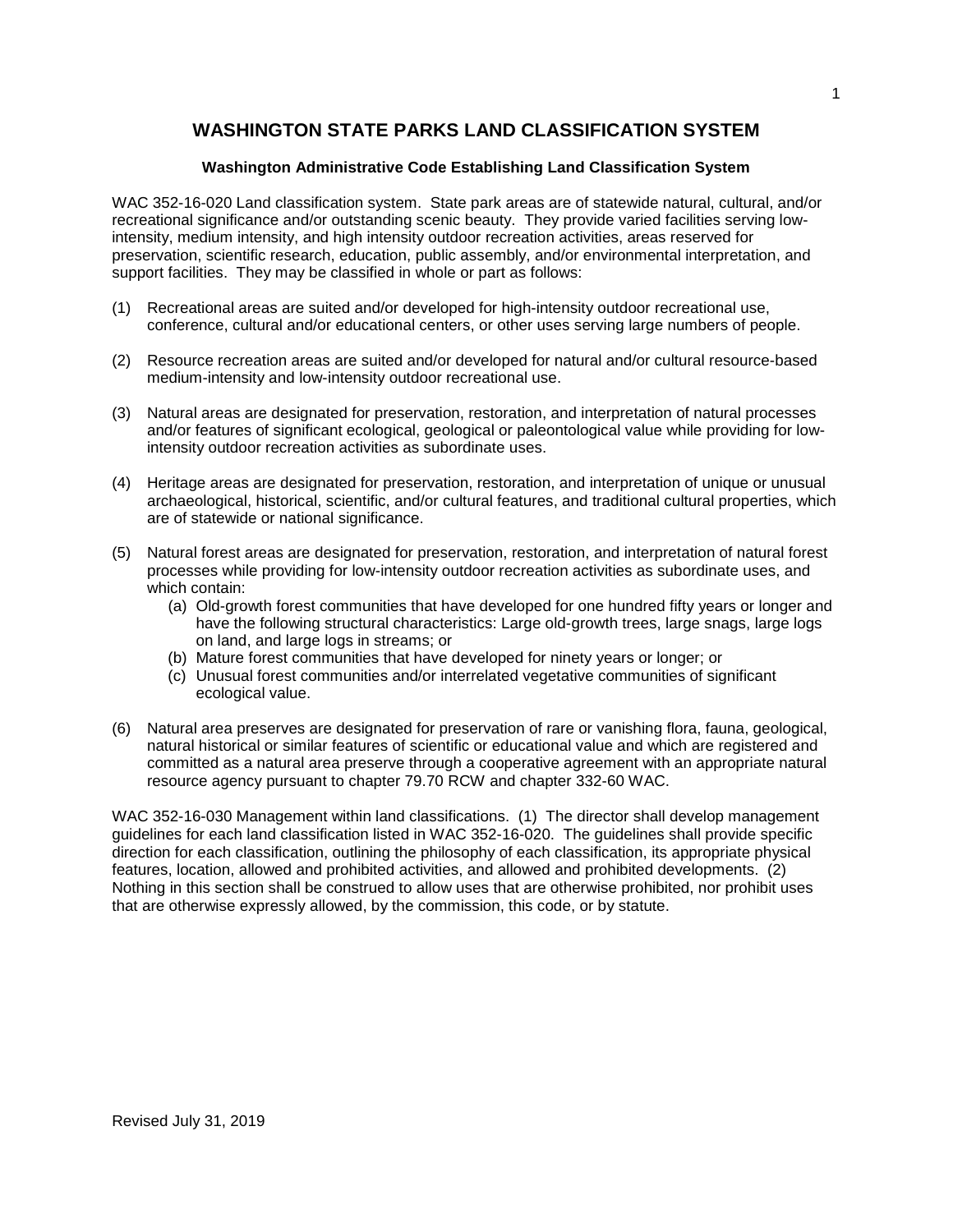## **WASHINGTON STATE PARKS LAND CLASSIFICATION SYSTEM**

### **Washington Administrative Code Establishing Land Classification System**

WAC 352-16-020 Land classification system. State park areas are of statewide natural, cultural, and/or recreational significance and/or outstanding scenic beauty. They provide varied facilities serving lowintensity, medium intensity, and high intensity outdoor recreation activities, areas reserved for preservation, scientific research, education, public assembly, and/or environmental interpretation, and support facilities. They may be classified in whole or part as follows:

- (1) Recreational areas are suited and/or developed for high-intensity outdoor recreational use, conference, cultural and/or educational centers, or other uses serving large numbers of people.
- (2) Resource recreation areas are suited and/or developed for natural and/or cultural resource-based medium-intensity and low-intensity outdoor recreational use.
- (3) Natural areas are designated for preservation, restoration, and interpretation of natural processes and/or features of significant ecological, geological or paleontological value while providing for lowintensity outdoor recreation activities as subordinate uses.
- (4) Heritage areas are designated for preservation, restoration, and interpretation of unique or unusual archaeological, historical, scientific, and/or cultural features, and traditional cultural properties, which are of statewide or national significance.
- (5) Natural forest areas are designated for preservation, restoration, and interpretation of natural forest processes while providing for low-intensity outdoor recreation activities as subordinate uses, and which contain:
	- (a) Old-growth forest communities that have developed for one hundred fifty years or longer and have the following structural characteristics: Large old-growth trees, large snags, large logs on land, and large logs in streams; or
	- (b) Mature forest communities that have developed for ninety years or longer; or
	- (c) Unusual forest communities and/or interrelated vegetative communities of significant ecological value.
- (6) Natural area preserves are designated for preservation of rare or vanishing flora, fauna, geological, natural historical or similar features of scientific or educational value and which are registered and committed as a natural area preserve through a cooperative agreement with an appropriate natural resource agency pursuant to chapter 79.70 RCW and chapter 332-60 WAC.

WAC 352-16-030 Management within land classifications. (1) The director shall develop management guidelines for each land classification listed in WAC 352-16-020. The guidelines shall provide specific direction for each classification, outlining the philosophy of each classification, its appropriate physical features, location, allowed and prohibited activities, and allowed and prohibited developments. (2) Nothing in this section shall be construed to allow uses that are otherwise prohibited, nor prohibit uses that are otherwise expressly allowed, by the commission, this code, or by statute.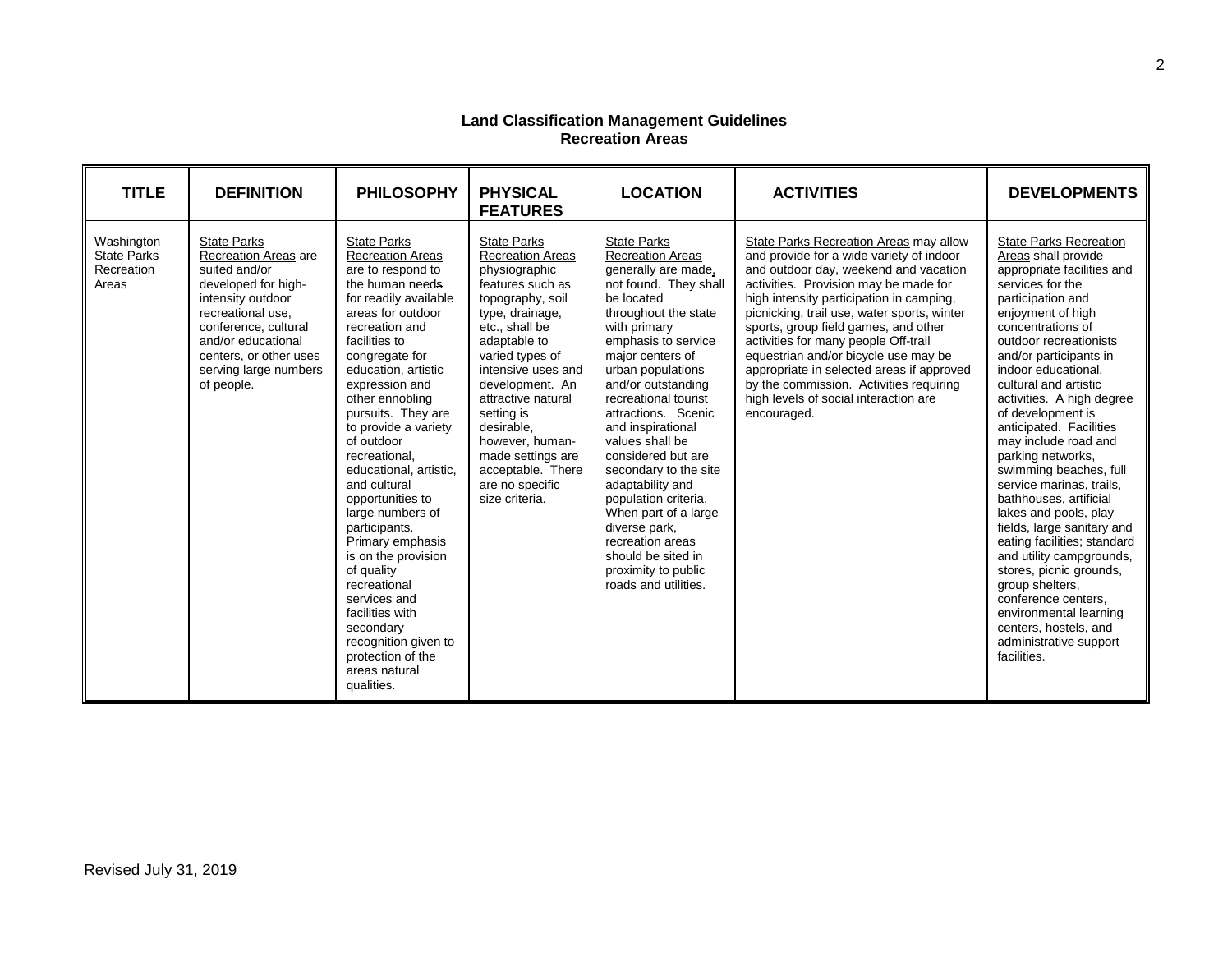#### **Land Classification Management Guidelines Recreation Areas**

| <b>TITLE</b>                                            | <b>DEFINITION</b>                                                                                                                                                                                                                           | <b>PHILOSOPHY</b>                                                                                                                                                                                                                                                                                                                                                                                                                                                                                                                                                                                                                         | <b>PHYSICAL</b><br><b>FEATURES</b>                                                                                                                                                                                                                                                                                                                                          | <b>LOCATION</b>                                                                                                                                                                                                                                                                                                                                                                                                                                                                                                                                               | <b>ACTIVITIES</b>                                                                                                                                                                                                                                                                                                                                                                                                                                                                                                                       | <b>DEVELOPMENTS</b>                                                                                                                                                                                                                                                                                                                                                                                                                                                                                                                                                                                                                                                                                                                                                    |
|---------------------------------------------------------|---------------------------------------------------------------------------------------------------------------------------------------------------------------------------------------------------------------------------------------------|-------------------------------------------------------------------------------------------------------------------------------------------------------------------------------------------------------------------------------------------------------------------------------------------------------------------------------------------------------------------------------------------------------------------------------------------------------------------------------------------------------------------------------------------------------------------------------------------------------------------------------------------|-----------------------------------------------------------------------------------------------------------------------------------------------------------------------------------------------------------------------------------------------------------------------------------------------------------------------------------------------------------------------------|---------------------------------------------------------------------------------------------------------------------------------------------------------------------------------------------------------------------------------------------------------------------------------------------------------------------------------------------------------------------------------------------------------------------------------------------------------------------------------------------------------------------------------------------------------------|-----------------------------------------------------------------------------------------------------------------------------------------------------------------------------------------------------------------------------------------------------------------------------------------------------------------------------------------------------------------------------------------------------------------------------------------------------------------------------------------------------------------------------------------|------------------------------------------------------------------------------------------------------------------------------------------------------------------------------------------------------------------------------------------------------------------------------------------------------------------------------------------------------------------------------------------------------------------------------------------------------------------------------------------------------------------------------------------------------------------------------------------------------------------------------------------------------------------------------------------------------------------------------------------------------------------------|
| Washington<br><b>State Parks</b><br>Recreation<br>Areas | <b>State Parks</b><br>Recreation Areas are<br>suited and/or<br>developed for high-<br>intensity outdoor<br>recreational use,<br>conference, cultural<br>and/or educational<br>centers, or other uses<br>serving large numbers<br>of people. | <b>State Parks</b><br><b>Recreation Areas</b><br>are to respond to<br>the human needs<br>for readily available<br>areas for outdoor<br>recreation and<br>facilities to<br>congregate for<br>education, artistic<br>expression and<br>other ennobling<br>pursuits. They are<br>to provide a variety<br>of outdoor<br>recreational.<br>educational, artistic,<br>and cultural<br>opportunities to<br>large numbers of<br>participants.<br>Primary emphasis<br>is on the provision<br>of quality<br>recreational<br>services and<br>facilities with<br>secondary<br>recognition given to<br>protection of the<br>areas natural<br>qualities. | <b>State Parks</b><br><b>Recreation Areas</b><br>physiographic<br>features such as<br>topography, soil<br>type, drainage,<br>etc., shall be<br>adaptable to<br>varied types of<br>intensive uses and<br>development. An<br>attractive natural<br>setting is<br>desirable.<br>however, human-<br>made settings are<br>acceptable. There<br>are no specific<br>size criteria. | <b>State Parks</b><br><b>Recreation Areas</b><br>generally are made,<br>not found. They shall<br>be located<br>throughout the state<br>with primary<br>emphasis to service<br>major centers of<br>urban populations<br>and/or outstanding<br>recreational tourist<br>attractions. Scenic<br>and inspirational<br>values shall be<br>considered but are<br>secondary to the site<br>adaptability and<br>population criteria.<br>When part of a large<br>diverse park,<br>recreation areas<br>should be sited in<br>proximity to public<br>roads and utilities. | State Parks Recreation Areas may allow<br>and provide for a wide variety of indoor<br>and outdoor day, weekend and vacation<br>activities. Provision may be made for<br>high intensity participation in camping,<br>picnicking, trail use, water sports, winter<br>sports, group field games, and other<br>activities for many people Off-trail<br>equestrian and/or bicycle use may be<br>appropriate in selected areas if approved<br>by the commission. Activities requiring<br>high levels of social interaction are<br>encouraged. | <b>State Parks Recreation</b><br>Areas shall provide<br>appropriate facilities and<br>services for the<br>participation and<br>enjoyment of high<br>concentrations of<br>outdoor recreationists<br>and/or participants in<br>indoor educational,<br>cultural and artistic<br>activities. A high degree<br>of development is<br>anticipated. Facilities<br>may include road and<br>parking networks,<br>swimming beaches, full<br>service marinas, trails,<br>bathhouses, artificial<br>lakes and pools, play<br>fields, large sanitary and<br>eating facilities; standard<br>and utility campgrounds,<br>stores, picnic grounds,<br>group shelters.<br>conference centers.<br>environmental learning<br>centers, hostels, and<br>administrative support<br>facilities. |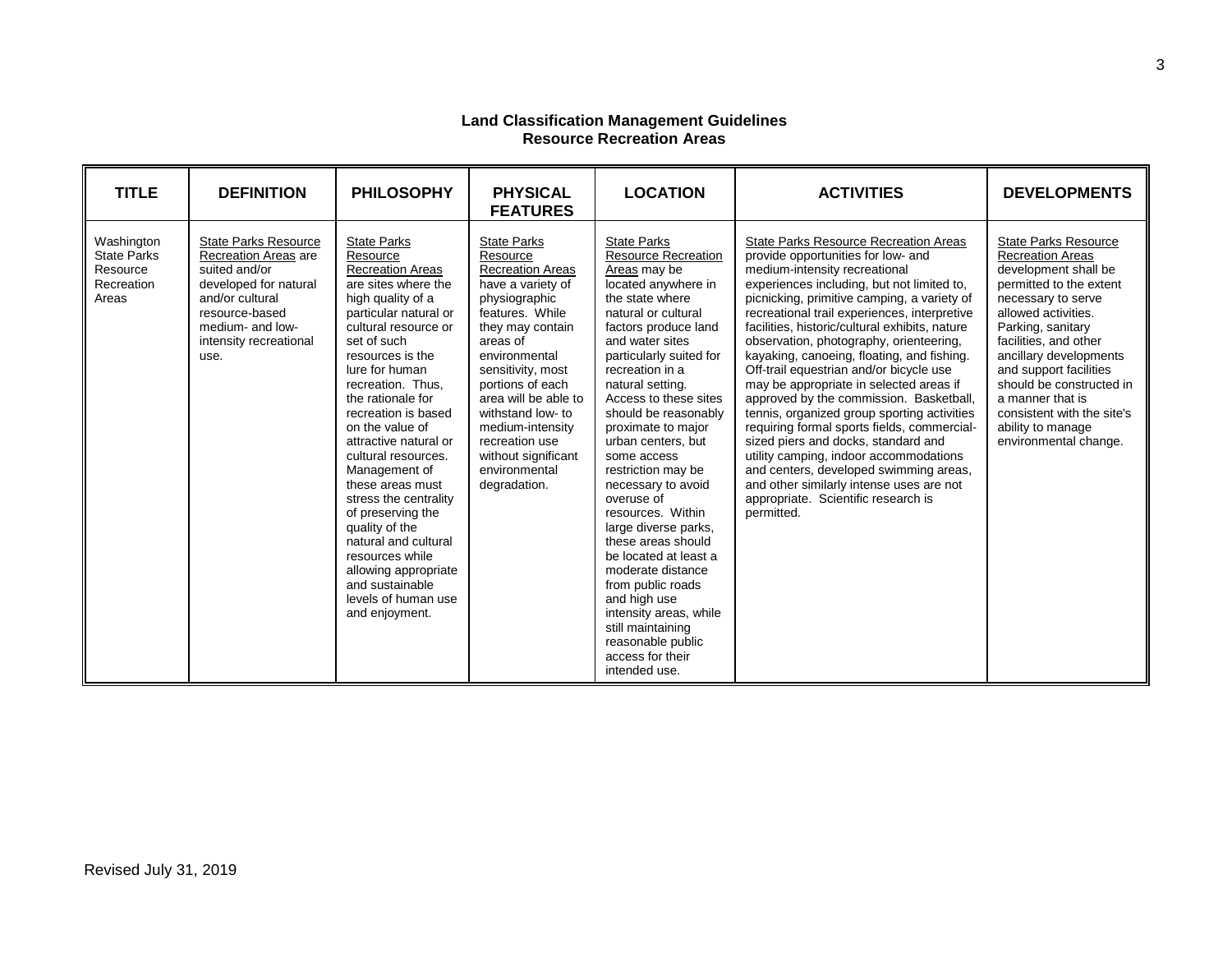#### **Land Classification Management Guidelines Resource Recreation Areas**

| <b>TITLE</b>                                                        | <b>DEFINITION</b>                                                                                                                                                                        | <b>PHILOSOPHY</b>                                                                                                                                                                                                                                                                                                                                                                                                                                                                                                                                                                   | <b>PHYSICAL</b><br><b>FEATURES</b>                                                                                                                                                                                                                                                                                                                      | <b>LOCATION</b>                                                                                                                                                                                                                                                                                                                                                                                                                                                                                                                                                                                                                                                                     | <b>ACTIVITIES</b>                                                                                                                                                                                                                                                                                                                                                                                                                                                                                                                                                                                                                                                                                                                                                                                                                                                      | <b>DEVELOPMENTS</b>                                                                                                                                                                                                                                                                                                                                                                  |
|---------------------------------------------------------------------|------------------------------------------------------------------------------------------------------------------------------------------------------------------------------------------|-------------------------------------------------------------------------------------------------------------------------------------------------------------------------------------------------------------------------------------------------------------------------------------------------------------------------------------------------------------------------------------------------------------------------------------------------------------------------------------------------------------------------------------------------------------------------------------|---------------------------------------------------------------------------------------------------------------------------------------------------------------------------------------------------------------------------------------------------------------------------------------------------------------------------------------------------------|-------------------------------------------------------------------------------------------------------------------------------------------------------------------------------------------------------------------------------------------------------------------------------------------------------------------------------------------------------------------------------------------------------------------------------------------------------------------------------------------------------------------------------------------------------------------------------------------------------------------------------------------------------------------------------------|------------------------------------------------------------------------------------------------------------------------------------------------------------------------------------------------------------------------------------------------------------------------------------------------------------------------------------------------------------------------------------------------------------------------------------------------------------------------------------------------------------------------------------------------------------------------------------------------------------------------------------------------------------------------------------------------------------------------------------------------------------------------------------------------------------------------------------------------------------------------|--------------------------------------------------------------------------------------------------------------------------------------------------------------------------------------------------------------------------------------------------------------------------------------------------------------------------------------------------------------------------------------|
| Washington<br><b>State Parks</b><br>Resource<br>Recreation<br>Areas | <b>State Parks Resource</b><br>Recreation Areas are<br>suited and/or<br>developed for natural<br>and/or cultural<br>resource-based<br>medium- and low-<br>intensity recreational<br>use. | <b>State Parks</b><br>Resource<br><b>Recreation Areas</b><br>are sites where the<br>high quality of a<br>particular natural or<br>cultural resource or<br>set of such<br>resources is the<br>lure for human<br>recreation. Thus,<br>the rationale for<br>recreation is based<br>on the value of<br>attractive natural or<br>cultural resources.<br>Management of<br>these areas must<br>stress the centrality<br>of preserving the<br>quality of the<br>natural and cultural<br>resources while<br>allowing appropriate<br>and sustainable<br>levels of human use<br>and enjoyment. | <b>State Parks</b><br>Resource<br><b>Recreation Areas</b><br>have a variety of<br>physiographic<br>features. While<br>they may contain<br>areas of<br>environmental<br>sensitivity, most<br>portions of each<br>area will be able to<br>withstand low- to<br>medium-intensity<br>recreation use<br>without significant<br>environmental<br>degradation. | <b>State Parks</b><br><b>Resource Recreation</b><br>Areas may be<br>located anywhere in<br>the state where<br>natural or cultural<br>factors produce land<br>and water sites<br>particularly suited for<br>recreation in a<br>natural setting.<br>Access to these sites<br>should be reasonably<br>proximate to major<br>urban centers, but<br>some access<br>restriction may be<br>necessary to avoid<br>overuse of<br>resources. Within<br>large diverse parks,<br>these areas should<br>be located at least a<br>moderate distance<br>from public roads<br>and high use<br>intensity areas, while<br>still maintaining<br>reasonable public<br>access for their<br>intended use. | <b>State Parks Resource Recreation Areas</b><br>provide opportunities for low- and<br>medium-intensity recreational<br>experiences including, but not limited to,<br>picnicking, primitive camping, a variety of<br>recreational trail experiences, interpretive<br>facilities, historic/cultural exhibits, nature<br>observation, photography, orienteering,<br>kayaking, canoeing, floating, and fishing.<br>Off-trail equestrian and/or bicycle use<br>may be appropriate in selected areas if<br>approved by the commission. Basketball,<br>tennis, organized group sporting activities<br>requiring formal sports fields, commercial-<br>sized piers and docks, standard and<br>utility camping, indoor accommodations<br>and centers, developed swimming areas,<br>and other similarly intense uses are not<br>appropriate. Scientific research is<br>permitted. | <b>State Parks Resource</b><br><b>Recreation Areas</b><br>development shall be<br>permitted to the extent<br>necessary to serve<br>allowed activities.<br>Parking, sanitary<br>facilities, and other<br>ancillary developments<br>and support facilities<br>should be constructed in<br>a manner that is<br>consistent with the site's<br>ability to manage<br>environmental change. |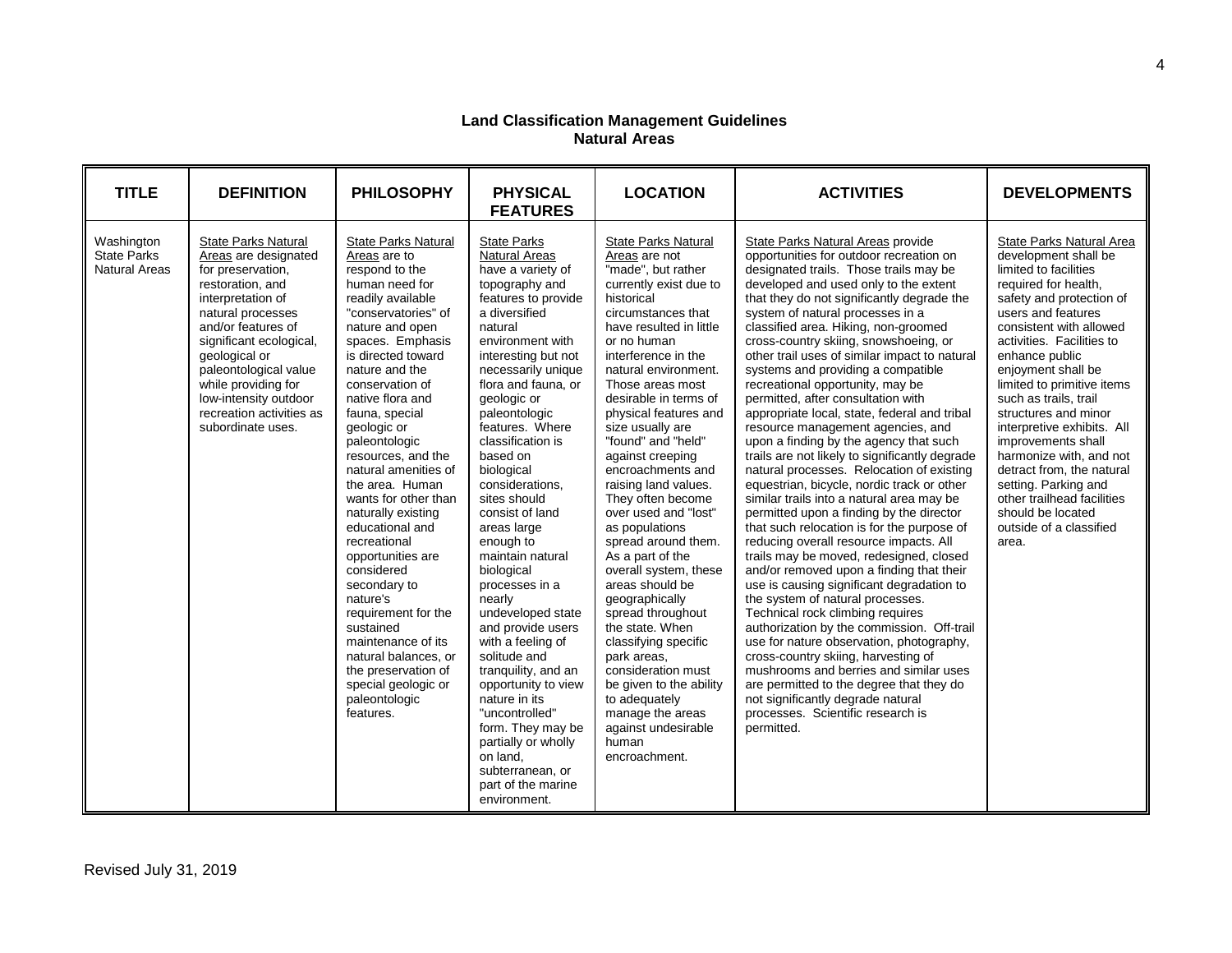#### **Land Classification Management Guidelines Natural Areas**

| <b>TITLE</b>                                             | <b>DEFINITION</b>                                                                                                                                                                                                                                                                                                                 | <b>PHILOSOPHY</b>                                                                                                                                                                                                                                                                                                                                                                                                                                                                                                                                                                                                                                                                 | <b>PHYSICAL</b><br><b>FEATURES</b>                                                                                                                                                                                                                                                                                                                                                                                                                                                                                                                                                                                                                                                                                                                               | <b>LOCATION</b>                                                                                                                                                                                                                                                                                                                                                                                                                                                                                                                                                                                                                                                                                                                                                                                         | <b>ACTIVITIES</b>                                                                                                                                                                                                                                                                                                                                                                                                                                                                                                                                                                                                                                                                                                                                                                                                                                                                                                                                                                                                                                                                                                                                                                                                                                                                                                                                                                                                                                                                           | <b>DEVELOPMENTS</b>                                                                                                                                                                                                                                                                                                                                                                                                                                                                                                                                           |
|----------------------------------------------------------|-----------------------------------------------------------------------------------------------------------------------------------------------------------------------------------------------------------------------------------------------------------------------------------------------------------------------------------|-----------------------------------------------------------------------------------------------------------------------------------------------------------------------------------------------------------------------------------------------------------------------------------------------------------------------------------------------------------------------------------------------------------------------------------------------------------------------------------------------------------------------------------------------------------------------------------------------------------------------------------------------------------------------------------|------------------------------------------------------------------------------------------------------------------------------------------------------------------------------------------------------------------------------------------------------------------------------------------------------------------------------------------------------------------------------------------------------------------------------------------------------------------------------------------------------------------------------------------------------------------------------------------------------------------------------------------------------------------------------------------------------------------------------------------------------------------|---------------------------------------------------------------------------------------------------------------------------------------------------------------------------------------------------------------------------------------------------------------------------------------------------------------------------------------------------------------------------------------------------------------------------------------------------------------------------------------------------------------------------------------------------------------------------------------------------------------------------------------------------------------------------------------------------------------------------------------------------------------------------------------------------------|---------------------------------------------------------------------------------------------------------------------------------------------------------------------------------------------------------------------------------------------------------------------------------------------------------------------------------------------------------------------------------------------------------------------------------------------------------------------------------------------------------------------------------------------------------------------------------------------------------------------------------------------------------------------------------------------------------------------------------------------------------------------------------------------------------------------------------------------------------------------------------------------------------------------------------------------------------------------------------------------------------------------------------------------------------------------------------------------------------------------------------------------------------------------------------------------------------------------------------------------------------------------------------------------------------------------------------------------------------------------------------------------------------------------------------------------------------------------------------------------|---------------------------------------------------------------------------------------------------------------------------------------------------------------------------------------------------------------------------------------------------------------------------------------------------------------------------------------------------------------------------------------------------------------------------------------------------------------------------------------------------------------------------------------------------------------|
| Washington<br><b>State Parks</b><br><b>Natural Areas</b> | <b>State Parks Natural</b><br>Areas are designated<br>for preservation,<br>restoration, and<br>interpretation of<br>natural processes<br>and/or features of<br>significant ecological,<br>geological or<br>paleontological value<br>while providing for<br>low-intensity outdoor<br>recreation activities as<br>subordinate uses. | <b>State Parks Natural</b><br>Areas are to<br>respond to the<br>human need for<br>readily available<br>"conservatories" of<br>nature and open<br>spaces. Emphasis<br>is directed toward<br>nature and the<br>conservation of<br>native flora and<br>fauna, special<br>geologic or<br>paleontologic<br>resources, and the<br>natural amenities of<br>the area. Human<br>wants for other than<br>naturally existing<br>educational and<br>recreational<br>opportunities are<br>considered<br>secondary to<br>nature's<br>requirement for the<br>sustained<br>maintenance of its<br>natural balances, or<br>the preservation of<br>special geologic or<br>paleontologic<br>features. | <b>State Parks</b><br><b>Natural Areas</b><br>have a variety of<br>topography and<br>features to provide<br>a diversified<br>natural<br>environment with<br>interesting but not<br>necessarily unique<br>flora and fauna, or<br>geologic or<br>paleontologic<br>features. Where<br>classification is<br>based on<br>biological<br>considerations.<br>sites should<br>consist of land<br>areas large<br>enough to<br>maintain natural<br>biological<br>processes in a<br>nearly<br>undeveloped state<br>and provide users<br>with a feeling of<br>solitude and<br>tranquility, and an<br>opportunity to view<br>nature in its<br>"uncontrolled"<br>form. They may be<br>partially or wholly<br>on land,<br>subterranean, or<br>part of the marine<br>environment. | <b>State Parks Natural</b><br>Areas are not<br>"made", but rather<br>currently exist due to<br>historical<br>circumstances that<br>have resulted in little<br>or no human<br>interference in the<br>natural environment.<br>Those areas most<br>desirable in terms of<br>physical features and<br>size usually are<br>"found" and "held"<br>against creeping<br>encroachments and<br>raising land values.<br>They often become<br>over used and "lost"<br>as populations<br>spread around them.<br>As a part of the<br>overall system, these<br>areas should be<br>geographically<br>spread throughout<br>the state. When<br>classifying specific<br>park areas,<br>consideration must<br>be given to the ability<br>to adequately<br>manage the areas<br>against undesirable<br>human<br>encroachment. | State Parks Natural Areas provide<br>opportunities for outdoor recreation on<br>designated trails. Those trails may be<br>developed and used only to the extent<br>that they do not significantly degrade the<br>system of natural processes in a<br>classified area. Hiking, non-groomed<br>cross-country skiing, snowshoeing, or<br>other trail uses of similar impact to natural<br>systems and providing a compatible<br>recreational opportunity, may be<br>permitted, after consultation with<br>appropriate local, state, federal and tribal<br>resource management agencies, and<br>upon a finding by the agency that such<br>trails are not likely to significantly degrade<br>natural processes. Relocation of existing<br>equestrian, bicycle, nordic track or other<br>similar trails into a natural area may be<br>permitted upon a finding by the director<br>that such relocation is for the purpose of<br>reducing overall resource impacts. All<br>trails may be moved, redesigned, closed<br>and/or removed upon a finding that their<br>use is causing significant degradation to<br>the system of natural processes.<br>Technical rock climbing requires<br>authorization by the commission. Off-trail<br>use for nature observation, photography,<br>cross-country skiing, harvesting of<br>mushrooms and berries and similar uses<br>are permitted to the degree that they do<br>not significantly degrade natural<br>processes. Scientific research is<br>permitted. | State Parks Natural Area<br>development shall be<br>limited to facilities<br>required for health.<br>safety and protection of<br>users and features<br>consistent with allowed<br>activities. Facilities to<br>enhance public<br>enjoyment shall be<br>limited to primitive items<br>such as trails, trail<br>structures and minor<br>interpretive exhibits. All<br>improvements shall<br>harmonize with, and not<br>detract from, the natural<br>setting. Parking and<br>other trailhead facilities<br>should be located<br>outside of a classified<br>area. |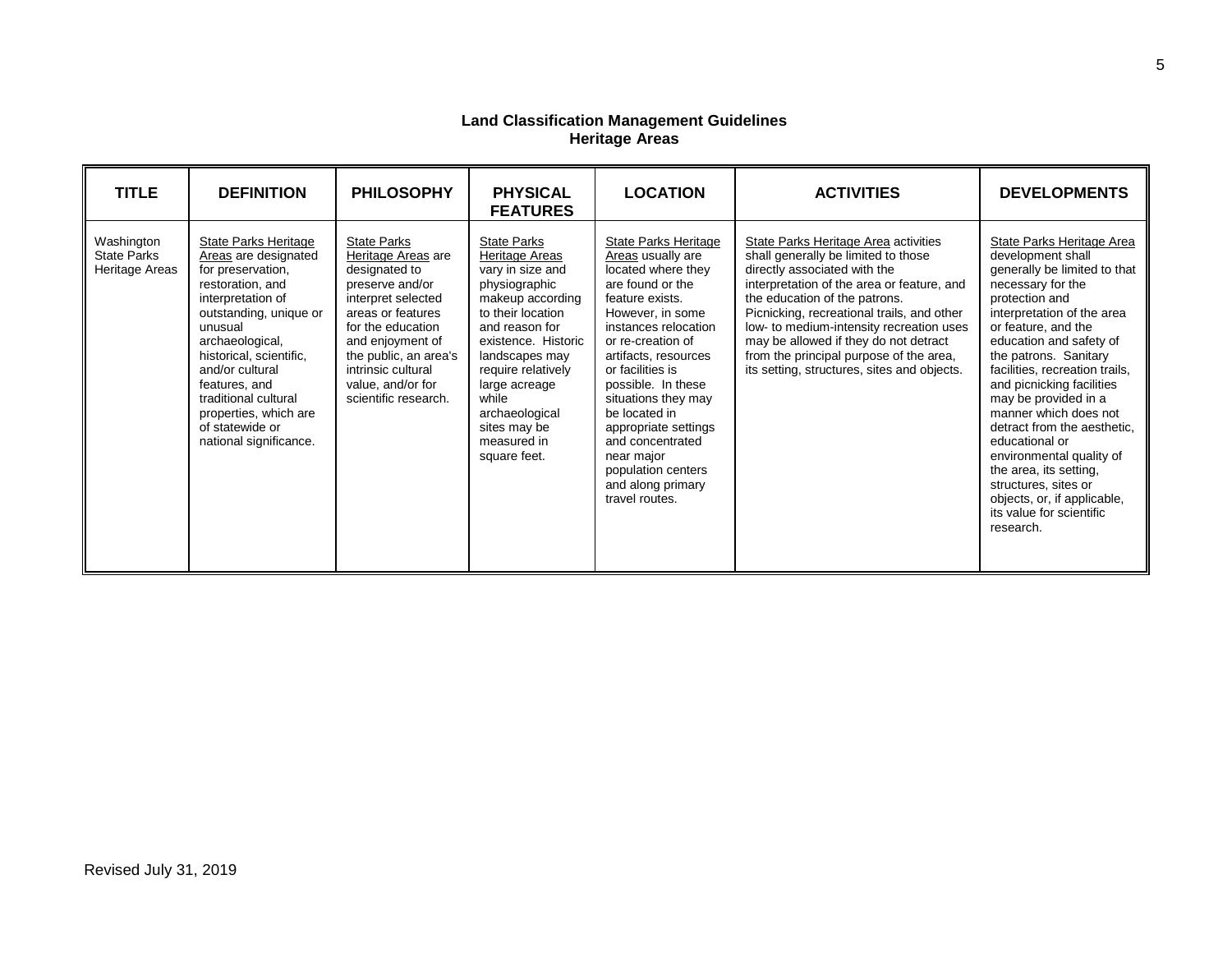#### **Land Classification Management Guidelines Heritage Areas**

| <b>TITLE</b>                                       | <b>DEFINITION</b>                                                                                                                                                                                                                                                                                                                      | <b>PHILOSOPHY</b>                                                                                                                                                                                                                                            | <b>PHYSICAL</b><br><b>FEATURES</b>                                                                                                                                                                                                                                                             | <b>LOCATION</b>                                                                                                                                                                                                                                                                                                                                                                                          | <b>ACTIVITIES</b>                                                                                                                                                                                                                                                                                                                                                                                                       | <b>DEVELOPMENTS</b>                                                                                                                                                                                                                                                                                                                                                                                                                                                                                                                                   |
|----------------------------------------------------|----------------------------------------------------------------------------------------------------------------------------------------------------------------------------------------------------------------------------------------------------------------------------------------------------------------------------------------|--------------------------------------------------------------------------------------------------------------------------------------------------------------------------------------------------------------------------------------------------------------|------------------------------------------------------------------------------------------------------------------------------------------------------------------------------------------------------------------------------------------------------------------------------------------------|----------------------------------------------------------------------------------------------------------------------------------------------------------------------------------------------------------------------------------------------------------------------------------------------------------------------------------------------------------------------------------------------------------|-------------------------------------------------------------------------------------------------------------------------------------------------------------------------------------------------------------------------------------------------------------------------------------------------------------------------------------------------------------------------------------------------------------------------|-------------------------------------------------------------------------------------------------------------------------------------------------------------------------------------------------------------------------------------------------------------------------------------------------------------------------------------------------------------------------------------------------------------------------------------------------------------------------------------------------------------------------------------------------------|
| Washington<br><b>State Parks</b><br>Heritage Areas | <b>State Parks Heritage</b><br>Areas are designated<br>for preservation,<br>restoration, and<br>interpretation of<br>outstanding, unique or<br>unusual<br>archaeological,<br>historical, scientific,<br>and/or cultural<br>features, and<br>traditional cultural<br>properties, which are<br>of statewide or<br>national significance. | <b>State Parks</b><br>Heritage Areas are<br>designated to<br>preserve and/or<br>interpret selected<br>areas or features<br>for the education<br>and enjoyment of<br>the public, an area's<br>intrinsic cultural<br>value, and/or for<br>scientific research. | <b>State Parks</b><br>Heritage Areas<br>vary in size and<br>physiographic<br>makeup according<br>to their location<br>and reason for<br>existence. Historic<br>landscapes may<br>require relatively<br>large acreage<br>while<br>archaeological<br>sites may be<br>measured in<br>square feet. | State Parks Heritage<br>Areas usually are<br>located where they<br>are found or the<br>feature exists.<br>However, in some<br>instances relocation<br>or re-creation of<br>artifacts, resources<br>or facilities is<br>possible. In these<br>situations they may<br>be located in<br>appropriate settings<br>and concentrated<br>near major<br>population centers<br>and along primary<br>travel routes. | State Parks Heritage Area activities<br>shall generally be limited to those<br>directly associated with the<br>interpretation of the area or feature, and<br>the education of the patrons.<br>Picnicking, recreational trails, and other<br>low- to medium-intensity recreation uses<br>may be allowed if they do not detract<br>from the principal purpose of the area,<br>its setting, structures, sites and objects. | State Parks Heritage Area<br>development shall<br>generally be limited to that<br>necessary for the<br>protection and<br>interpretation of the area<br>or feature, and the<br>education and safety of<br>the patrons. Sanitary<br>facilities, recreation trails,<br>and picnicking facilities<br>may be provided in a<br>manner which does not<br>detract from the aesthetic.<br>educational or<br>environmental quality of<br>the area, its setting,<br>structures, sites or<br>objects, or, if applicable,<br>its value for scientific<br>research. |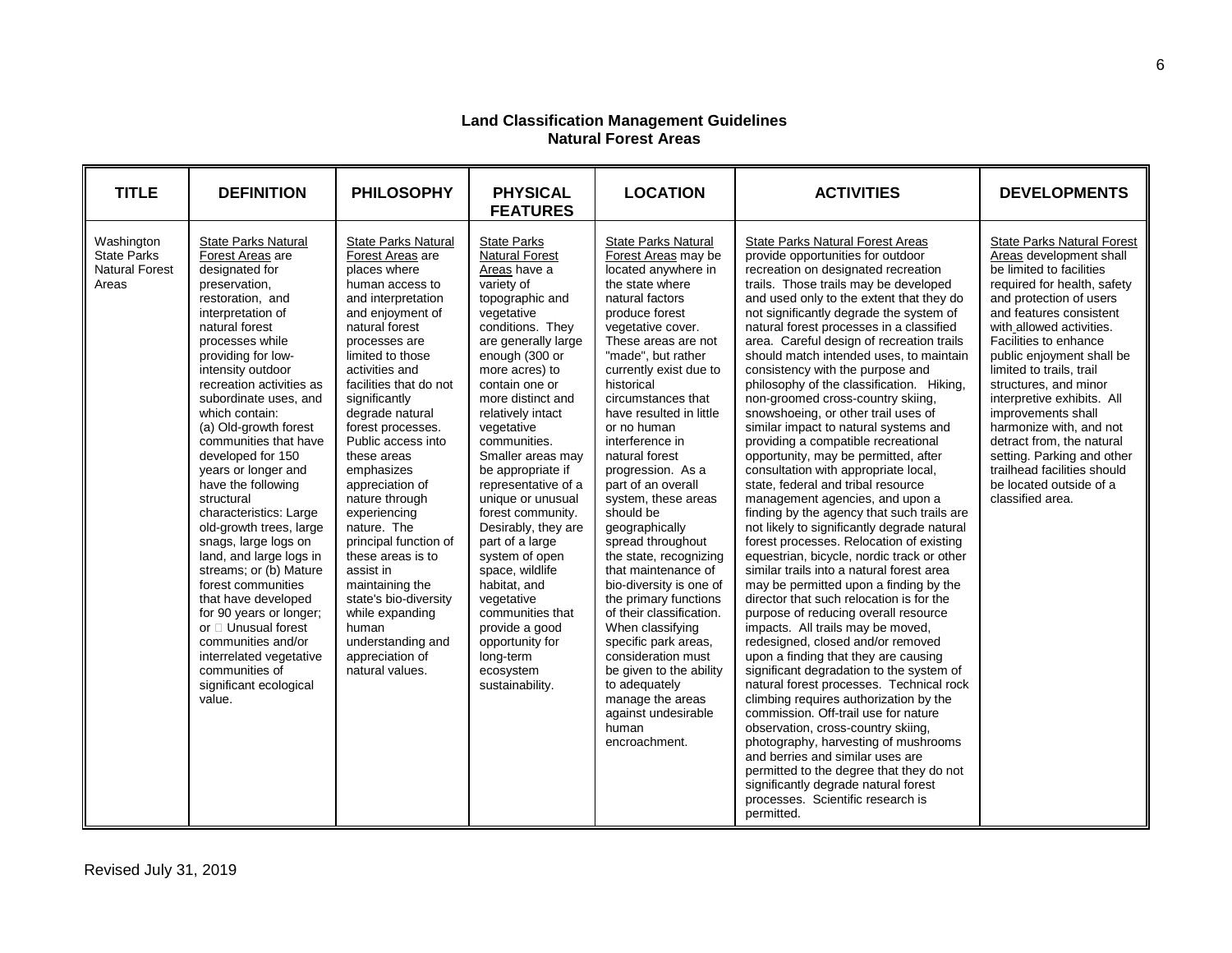#### **Land Classification Management Guidelines Natural Forest Areas**

| <b>TITLE</b>                                                       | <b>DEFINITION</b>                                                                                                                                                                                                                                                                                                                                                                                                                                                                                                                                                                                                                                                                                                                                           | <b>PHILOSOPHY</b>                                                                                                                                                                                                                                                                                                                                                                                                                                                                                                                                                                                            | <b>PHYSICAL</b><br><b>FEATURES</b>                                                                                                                                                                                                                                                                                                                                                                                                                                                                                                                                                                         | <b>LOCATION</b>                                                                                                                                                                                                                                                                                                                                                                                                                                                                                                                                                                                                                                                                                                                                                                           | <b>ACTIVITIES</b>                                                                                                                                                                                                                                                                                                                                                                                                                                                                                                                                                                                                                                                                                                                                                                                                                                                                                                                                                                                                                                                                                                                                                                                                                                                                                                                                                                                                                                                                                                                                                                                                                                                                                                    | <b>DEVELOPMENTS</b>                                                                                                                                                                                                                                                                                                                                                                                                                                                                                                                          |
|--------------------------------------------------------------------|-------------------------------------------------------------------------------------------------------------------------------------------------------------------------------------------------------------------------------------------------------------------------------------------------------------------------------------------------------------------------------------------------------------------------------------------------------------------------------------------------------------------------------------------------------------------------------------------------------------------------------------------------------------------------------------------------------------------------------------------------------------|--------------------------------------------------------------------------------------------------------------------------------------------------------------------------------------------------------------------------------------------------------------------------------------------------------------------------------------------------------------------------------------------------------------------------------------------------------------------------------------------------------------------------------------------------------------------------------------------------------------|------------------------------------------------------------------------------------------------------------------------------------------------------------------------------------------------------------------------------------------------------------------------------------------------------------------------------------------------------------------------------------------------------------------------------------------------------------------------------------------------------------------------------------------------------------------------------------------------------------|-------------------------------------------------------------------------------------------------------------------------------------------------------------------------------------------------------------------------------------------------------------------------------------------------------------------------------------------------------------------------------------------------------------------------------------------------------------------------------------------------------------------------------------------------------------------------------------------------------------------------------------------------------------------------------------------------------------------------------------------------------------------------------------------|----------------------------------------------------------------------------------------------------------------------------------------------------------------------------------------------------------------------------------------------------------------------------------------------------------------------------------------------------------------------------------------------------------------------------------------------------------------------------------------------------------------------------------------------------------------------------------------------------------------------------------------------------------------------------------------------------------------------------------------------------------------------------------------------------------------------------------------------------------------------------------------------------------------------------------------------------------------------------------------------------------------------------------------------------------------------------------------------------------------------------------------------------------------------------------------------------------------------------------------------------------------------------------------------------------------------------------------------------------------------------------------------------------------------------------------------------------------------------------------------------------------------------------------------------------------------------------------------------------------------------------------------------------------------------------------------------------------------|----------------------------------------------------------------------------------------------------------------------------------------------------------------------------------------------------------------------------------------------------------------------------------------------------------------------------------------------------------------------------------------------------------------------------------------------------------------------------------------------------------------------------------------------|
| Washington<br><b>State Parks</b><br><b>Natural Forest</b><br>Areas | <b>State Parks Natural</b><br>Forest Areas are<br>designated for<br>preservation,<br>restoration, and<br>interpretation of<br>natural forest<br>processes while<br>providing for low-<br>intensity outdoor<br>recreation activities as<br>subordinate uses, and<br>which contain:<br>(a) Old-growth forest<br>communities that have<br>developed for 150<br>years or longer and<br>have the following<br>structural<br>characteristics: Large<br>old-growth trees, large<br>snags, large logs on<br>land, and large logs in<br>streams; or (b) Mature<br>forest communities<br>that have developed<br>for 90 years or longer;<br>or D Unusual forest<br>communities and/or<br>interrelated vegetative<br>communities of<br>significant ecological<br>value. | <b>State Parks Natural</b><br>Forest Areas are<br>places where<br>human access to<br>and interpretation<br>and enjoyment of<br>natural forest<br>processes are<br>limited to those<br>activities and<br>facilities that do not<br>significantly<br>degrade natural<br>forest processes.<br>Public access into<br>these areas<br>emphasizes<br>appreciation of<br>nature through<br>experiencing<br>nature. The<br>principal function of<br>these areas is to<br>assist in<br>maintaining the<br>state's bio-diversity<br>while expanding<br>human<br>understanding and<br>appreciation of<br>natural values. | <b>State Parks</b><br>Natural Forest<br>Areas have a<br>variety of<br>topographic and<br>vegetative<br>conditions. They<br>are generally large<br>enough (300 or<br>more acres) to<br>contain one or<br>more distinct and<br>relatively intact<br>vegetative<br>communities.<br>Smaller areas may<br>be appropriate if<br>representative of a<br>unique or unusual<br>forest community.<br>Desirably, they are<br>part of a large<br>system of open<br>space, wildlife<br>habitat, and<br>vegetative<br>communities that<br>provide a good<br>opportunity for<br>long-term<br>ecosystem<br>sustainability. | <b>State Parks Natural</b><br>Forest Areas may be<br>located anywhere in<br>the state where<br>natural factors<br>produce forest<br>vegetative cover.<br>These areas are not<br>"made", but rather<br>currently exist due to<br>historical<br>circumstances that<br>have resulted in little<br>or no human<br>interference in<br>natural forest<br>progression. As a<br>part of an overall<br>system, these areas<br>should be<br>geographically<br>spread throughout<br>the state, recognizing<br>that maintenance of<br>bio-diversity is one of<br>the primary functions<br>of their classification.<br>When classifying<br>specific park areas,<br>consideration must<br>be given to the ability<br>to adequately<br>manage the areas<br>against undesirable<br>human<br>encroachment. | <b>State Parks Natural Forest Areas</b><br>provide opportunities for outdoor<br>recreation on designated recreation<br>trails. Those trails may be developed<br>and used only to the extent that they do<br>not significantly degrade the system of<br>natural forest processes in a classified<br>area. Careful design of recreation trails<br>should match intended uses, to maintain<br>consistency with the purpose and<br>philosophy of the classification. Hiking,<br>non-groomed cross-country skiing,<br>snowshoeing, or other trail uses of<br>similar impact to natural systems and<br>providing a compatible recreational<br>opportunity, may be permitted, after<br>consultation with appropriate local,<br>state, federal and tribal resource<br>management agencies, and upon a<br>finding by the agency that such trails are<br>not likely to significantly degrade natural<br>forest processes. Relocation of existing<br>equestrian, bicycle, nordic track or other<br>similar trails into a natural forest area<br>may be permitted upon a finding by the<br>director that such relocation is for the<br>purpose of reducing overall resource<br>impacts. All trails may be moved,<br>redesigned, closed and/or removed<br>upon a finding that they are causing<br>significant degradation to the system of<br>natural forest processes. Technical rock<br>climbing requires authorization by the<br>commission. Off-trail use for nature<br>observation, cross-country skiing,<br>photography, harvesting of mushrooms<br>and berries and similar uses are<br>permitted to the degree that they do not<br>significantly degrade natural forest<br>processes. Scientific research is<br>permitted. | <b>State Parks Natural Forest</b><br>Areas development shall<br>be limited to facilities<br>required for health, safety<br>and protection of users<br>and features consistent<br>with allowed activities.<br>Facilities to enhance<br>public enjoyment shall be<br>limited to trails, trail<br>structures, and minor<br>interpretive exhibits. All<br>improvements shall<br>harmonize with, and not<br>detract from, the natural<br>setting. Parking and other<br>trailhead facilities should<br>be located outside of a<br>classified area. |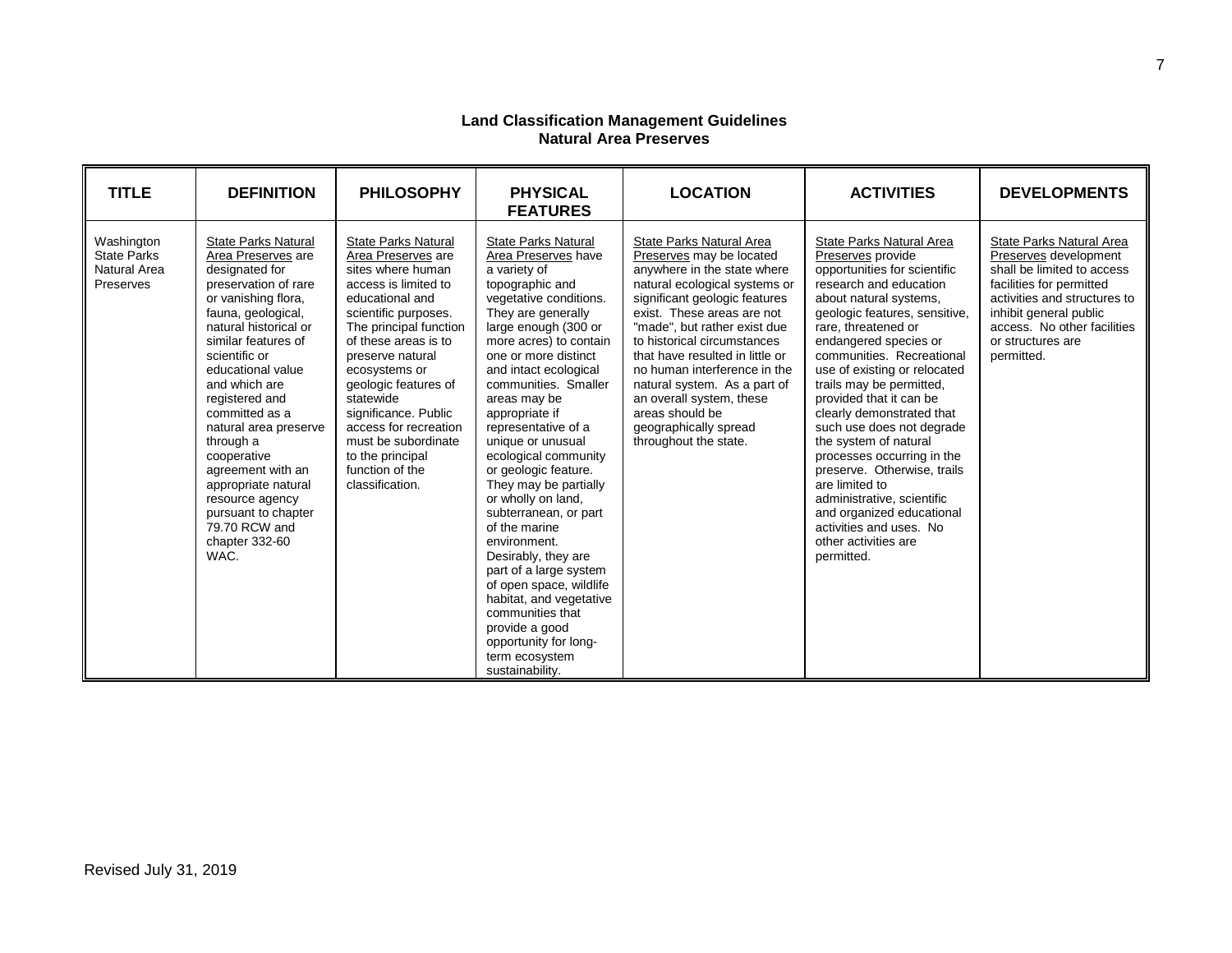#### **Land Classification Management Guidelines Natural Area Preserves**

| <b>TITLE</b>                                                  | <b>DEFINITION</b>                                                                                                                                                                                                                                                                                                                                                                                                                                                 | <b>PHILOSOPHY</b>                                                                                                                                                                                                                                                                                                                                                                               | <b>PHYSICAL</b><br><b>FEATURES</b>                                                                                                                                                                                                                                                                                                                                                                                                                                                                                                                                                                                                                                                                                | <b>LOCATION</b>                                                                                                                                                                                                                                                                                                                                                                                                                                        | <b>ACTIVITIES</b>                                                                                                                                                                                                                                                                                                                                                                                                                                                                                                                                                                                                                    | <b>DEVELOPMENTS</b>                                                                                                                                                                                                                     |
|---------------------------------------------------------------|-------------------------------------------------------------------------------------------------------------------------------------------------------------------------------------------------------------------------------------------------------------------------------------------------------------------------------------------------------------------------------------------------------------------------------------------------------------------|-------------------------------------------------------------------------------------------------------------------------------------------------------------------------------------------------------------------------------------------------------------------------------------------------------------------------------------------------------------------------------------------------|-------------------------------------------------------------------------------------------------------------------------------------------------------------------------------------------------------------------------------------------------------------------------------------------------------------------------------------------------------------------------------------------------------------------------------------------------------------------------------------------------------------------------------------------------------------------------------------------------------------------------------------------------------------------------------------------------------------------|--------------------------------------------------------------------------------------------------------------------------------------------------------------------------------------------------------------------------------------------------------------------------------------------------------------------------------------------------------------------------------------------------------------------------------------------------------|--------------------------------------------------------------------------------------------------------------------------------------------------------------------------------------------------------------------------------------------------------------------------------------------------------------------------------------------------------------------------------------------------------------------------------------------------------------------------------------------------------------------------------------------------------------------------------------------------------------------------------------|-----------------------------------------------------------------------------------------------------------------------------------------------------------------------------------------------------------------------------------------|
| Washington<br><b>State Parks</b><br>Natural Area<br>Preserves | State Parks Natural<br>Area Preserves are<br>designated for<br>preservation of rare<br>or vanishing flora,<br>fauna, geological,<br>natural historical or<br>similar features of<br>scientific or<br>educational value<br>and which are<br>registered and<br>committed as a<br>natural area preserve<br>through a<br>cooperative<br>agreement with an<br>appropriate natural<br>resource agency<br>pursuant to chapter<br>79.70 RCW and<br>chapter 332-60<br>WAC. | State Parks Natural<br>Area Preserves are<br>sites where human<br>access is limited to<br>educational and<br>scientific purposes.<br>The principal function<br>of these areas is to<br>preserve natural<br>ecosystems or<br>geologic features of<br>statewide<br>significance. Public<br>access for recreation<br>must be subordinate<br>to the principal<br>function of the<br>classification. | <b>State Parks Natural</b><br>Area Preserves have<br>a variety of<br>topographic and<br>vegetative conditions.<br>They are generally<br>large enough (300 or<br>more acres) to contain<br>one or more distinct<br>and intact ecological<br>communities. Smaller<br>areas may be<br>appropriate if<br>representative of a<br>unique or unusual<br>ecological community<br>or geologic feature.<br>They may be partially<br>or wholly on land,<br>subterranean, or part<br>of the marine<br>environment.<br>Desirably, they are<br>part of a large system<br>of open space, wildlife<br>habitat, and vegetative<br>communities that<br>provide a good<br>opportunity for long-<br>term ecosystem<br>sustainability. | State Parks Natural Area<br>Preserves may be located<br>anywhere in the state where<br>natural ecological systems or<br>significant geologic features<br>exist. These areas are not<br>"made", but rather exist due<br>to historical circumstances<br>that have resulted in little or<br>no human interference in the<br>natural system. As a part of<br>an overall system, these<br>areas should be<br>geographically spread<br>throughout the state. | State Parks Natural Area<br>Preserves provide<br>opportunities for scientific<br>research and education<br>about natural systems,<br>geologic features, sensitive,<br>rare, threatened or<br>endangered species or<br>communities. Recreational<br>use of existing or relocated<br>trails may be permitted.<br>provided that it can be<br>clearly demonstrated that<br>such use does not degrade<br>the system of natural<br>processes occurring in the<br>preserve. Otherwise, trails<br>are limited to<br>administrative, scientific<br>and organized educational<br>activities and uses. No<br>other activities are<br>permitted. | State Parks Natural Area<br>Preserves development<br>shall be limited to access<br>facilities for permitted<br>activities and structures to<br>inhibit general public<br>access. No other facilities<br>or structures are<br>permitted. |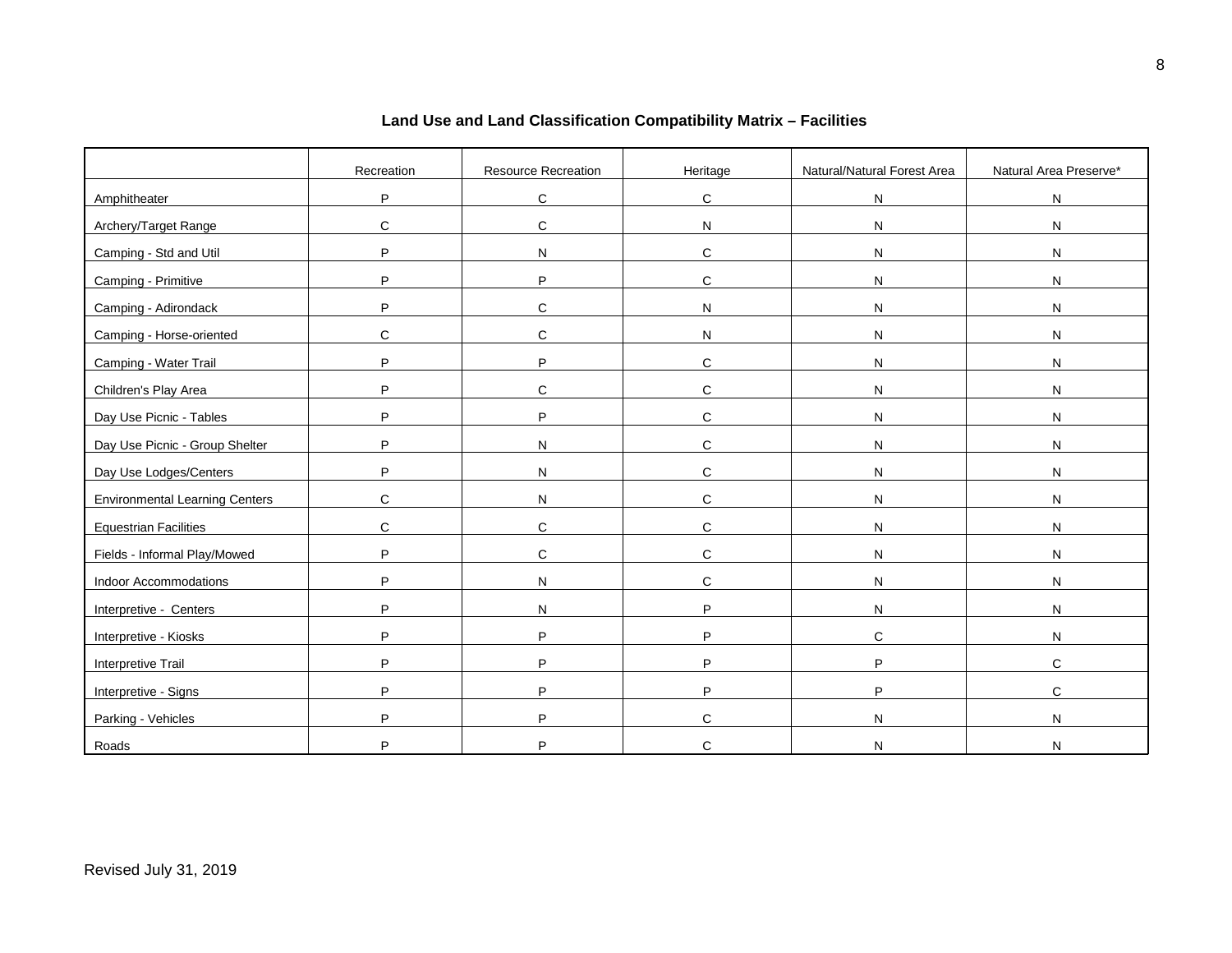|                                       | Recreation  | Resource Recreation | Heritage     | Natural/Natural Forest Area | Natural Area Preserve* |
|---------------------------------------|-------------|---------------------|--------------|-----------------------------|------------------------|
| Amphitheater                          | $\mathsf P$ | $\mathbf C$         | $\mathbf C$  | $\mathsf{N}$                | ${\sf N}$              |
| Archery/Target Range                  | $\mathbf C$ | $\mathbf C$         | $\mathsf{N}$ | ${\sf N}$                   | N                      |
| Camping - Std and Util                | P           | ${\sf N}$           | $\mathsf{C}$ | $\mathsf{N}$                | N                      |
| Camping - Primitive                   | P           | P                   | $\mathbf C$  | $\mathsf{N}$                | $\mathsf{N}$           |
| Camping - Adirondack                  | P           | $\mathbf C$         | ${\sf N}$    | $\mathsf{N}$                | ${\sf N}$              |
| Camping - Horse-oriented              | $\mathbf C$ | ${\bf C}$           | N            | N                           | N                      |
| Camping - Water Trail                 | P           | P                   | $\mathbf C$  | $\mathsf{N}$                | ${\sf N}$              |
| Children's Play Area                  | P           | $\mathbf C$         | $\mathbf C$  | $\mathsf{N}$                | ${\sf N}$              |
| Day Use Picnic - Tables               | P           | P                   | C            | N                           | N                      |
| Day Use Picnic - Group Shelter        | P           | N                   | $\mathbf C$  | ${\sf N}$                   | ${\sf N}$              |
| Day Use Lodges/Centers                | $\mathsf P$ | ${\sf N}$           | $\mathsf{C}$ | $\mathsf{N}$                | ${\sf N}$              |
| <b>Environmental Learning Centers</b> | $\mathbf C$ | ${\sf N}$           | $\mathbf C$  | $\mathsf{N}$                | ${\sf N}$              |
| <b>Equestrian Facilities</b>          | C           | $\mathbf C$         | $\mathbf C$  | $\mathsf{N}$                | $\mathsf{N}$           |
| Fields - Informal Play/Mowed          | P           | $\mathbf C$         | $\mathsf{C}$ | N                           | N                      |
| <b>Indoor Accommodations</b>          | P           | ${\sf N}$           | $\mathbf C$  | $\mathsf{N}$                | ${\sf N}$              |
| Interpretive - Centers                | P           | N                   | P            | $\mathsf{N}$                | $\mathsf{N}$           |
| Interpretive - Kiosks                 | P           | P                   | P            | $\mathsf{C}$                | ${\sf N}$              |
| Interpretive Trail                    | P           | P                   | P            | P                           | $\mathbf C$            |
| Interpretive - Signs                  | P           | P                   | P            | P                           | C                      |
| Parking - Vehicles                    | P           | P                   | $\mathbf C$  | N                           | ${\sf N}$              |
| Roads                                 | P           | P                   | C            | N                           | N                      |

# **Land Use and Land Classification Compatibility Matrix – Facilities**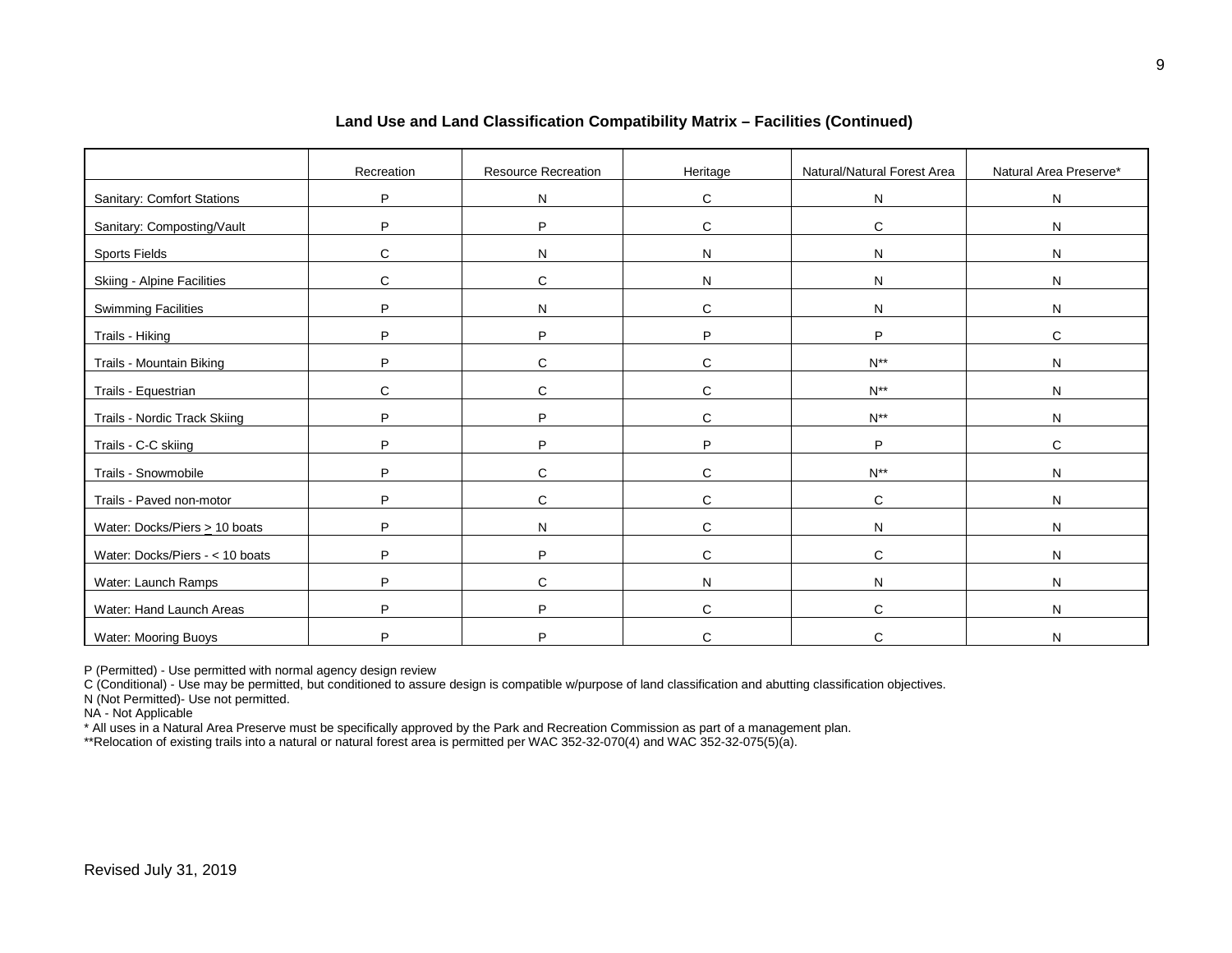|                                                         | Recreation   | <b>Resource Recreation</b> | Heritage     | Natural/Natural Forest Area | Natural Area Preserve* |
|---------------------------------------------------------|--------------|----------------------------|--------------|-----------------------------|------------------------|
| Sanitary: Comfort Stations                              | P            | ${\sf N}$                  | C            | N                           | N                      |
| Sanitary: Composting/Vault                              | P            | P                          | $\mathsf{C}$ | C                           | N                      |
| <b>Sports Fields</b>                                    | C            | N                          | N            | N                           | N                      |
| <b>Skiing - Alpine Facilities</b>                       | C            | C                          | N            | N                           | N                      |
| <b>Swimming Facilities</b>                              | P            | ${\sf N}$                  | C            | N                           | N                      |
| Trails - Hiking                                         | P            | P                          | P            | P                           | C                      |
| Trails - Mountain Biking                                | P            | $\mathbf C$                | C.           | $N^{**}$                    | N                      |
| Trails - Equestrian                                     | $\mathsf{C}$ | C                          | C.           | $N^{**}$                    | N                      |
| Trails - Nordic Track Skiing                            | P            | P                          | $\mathsf{C}$ | $N^{**}$                    | N                      |
| Trails - C-C skiing                                     | P            | P                          | P            | P                           | $\mathsf{C}$           |
| Trails - Snowmobile                                     | P            | $\mathbf C$                | C            | $\mathsf{N}^{\ast\ast}$     | N                      |
| Trails - Paved non-motor                                | P            | C                          | C            | C                           | N                      |
| Water: Docks/Piers $\geq 10$ boats                      | P            | ${\sf N}$                  | C.           | N                           | N                      |
| Water: Docks/Piers - < 10 boats                         | P            | P                          | C            | C                           | N                      |
|                                                         | P            | C                          | N            | N                           | N                      |
| Water: Launch Ramps                                     | P            | P                          | C            | C                           | N                      |
| Water: Hand Launch Areas<br><b>Water: Mooring Buoys</b> | D            | P                          | C.           | C.                          | N                      |

**Land Use and Land Classification Compatibility Matrix – Facilities (Continued)**

P (Permitted) - Use permitted with normal agency design review

C (Conditional) - Use may be permitted, but conditioned to assure design is compatible w/purpose of land classification and abutting classification objectives.

N (Not Permitted)- Use not permitted.

NA - Not Applicable

\* All uses in a Natural Area Preserve must be specifically approved by the Park and Recreation Commission as part of a management plan.

\*\*Relocation of existing trails into a natural or natural forest area is permitted per WAC 352-32-070(4) and WAC 352-32-075(5)(a).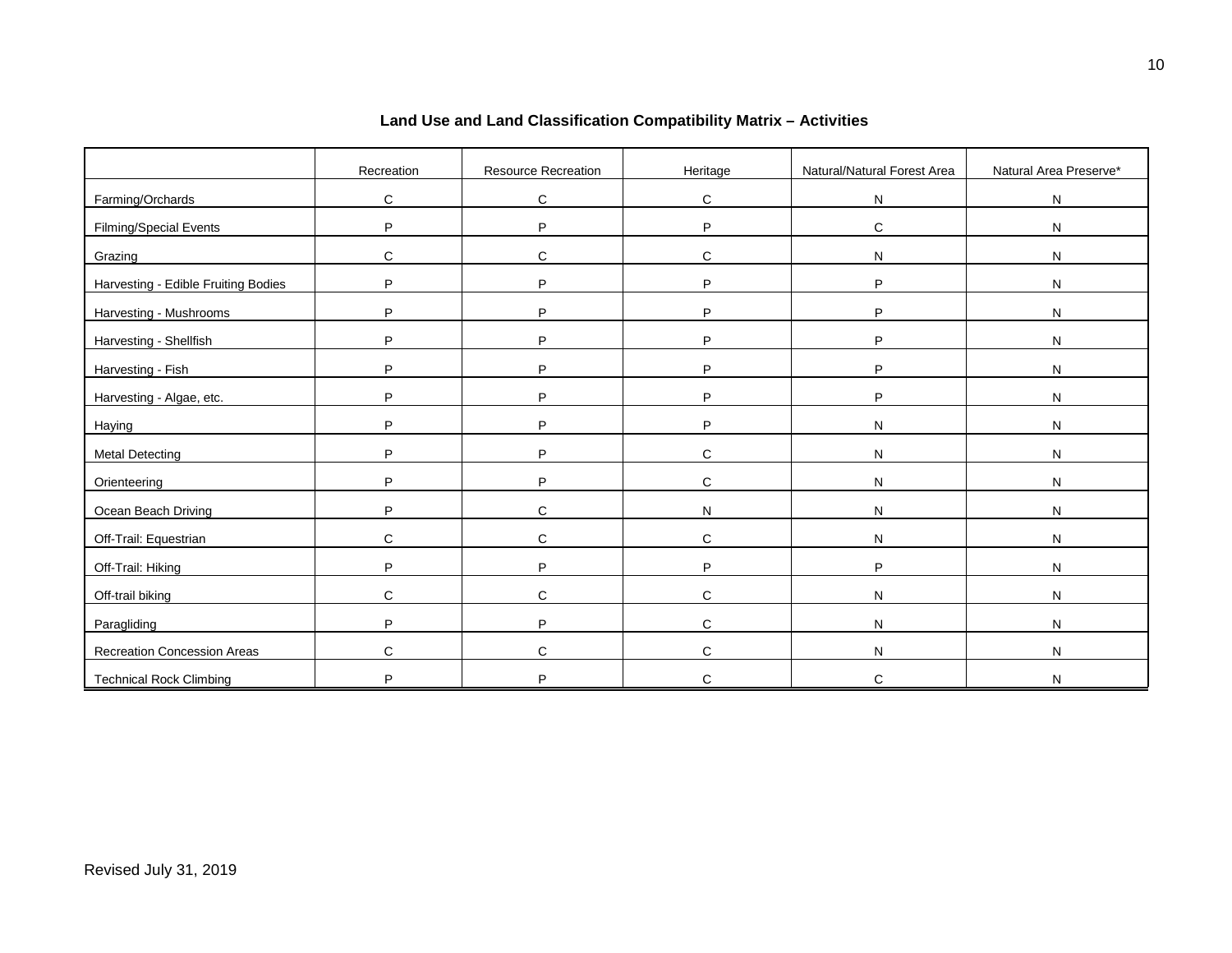|                                     | Recreation  | Resource Recreation | Heritage     | Natural/Natural Forest Area | Natural Area Preserve* |
|-------------------------------------|-------------|---------------------|--------------|-----------------------------|------------------------|
| Farming/Orchards                    | $\mathbf C$ | $\mathbf C$         | C            | N                           | N                      |
| Filming/Special Events              | P           | P                   | P            | $\mathbf C$                 | ${\sf N}$              |
| Grazing                             | C           | C                   | $\mathsf{C}$ | N                           | ${\sf N}$              |
| Harvesting - Edible Fruiting Bodies | P           | P                   | P            | P                           | ${\sf N}$              |
| Harvesting - Mushrooms              | P           | P                   | P            | P                           | ${\sf N}$              |
| Harvesting - Shellfish              | P           | $\mathsf P$         | P            | P                           | ${\sf N}$              |
| Harvesting - Fish                   | P           | $\mathsf P$         | P            | P                           | ${\sf N}$              |
| Harvesting - Algae, etc.            | P           | P                   | P            | P                           | ${\sf N}$              |
| Haying                              | P           | P                   | P            | N                           | N                      |
| <b>Metal Detecting</b>              | P           | P                   | $\mathsf{C}$ | $\mathsf{N}$                | N                      |
| Orienteering                        | P           | P                   | $\mathsf{C}$ | $\mathsf{N}$                | N                      |
| Ocean Beach Driving                 | P           | $\mathbf C$         | N            | $\mathsf{N}$                | N                      |
| Off-Trail: Equestrian               | C           | $\mathbf C$         | $\mathbf C$  | $\mathsf{N}$                | ${\sf N}$              |
| Off-Trail: Hiking                   | P           | P                   | P            | P                           | N                      |
| Off-trail biking                    | $\mathbf C$ | $\mathbf C$         | $\mathbf C$  | N                           | N                      |
| Paragliding                         | P           | P                   | $\mathbf C$  | N                           | ${\sf N}$              |
| Recreation Concession Areas         | C           | $\mathbf C$         | $\mathsf{C}$ | N                           | N                      |
| <b>Technical Rock Climbing</b>      | P           | P                   | C            | C                           | N                      |

**Land Use and Land Classification Compatibility Matrix – Activities**